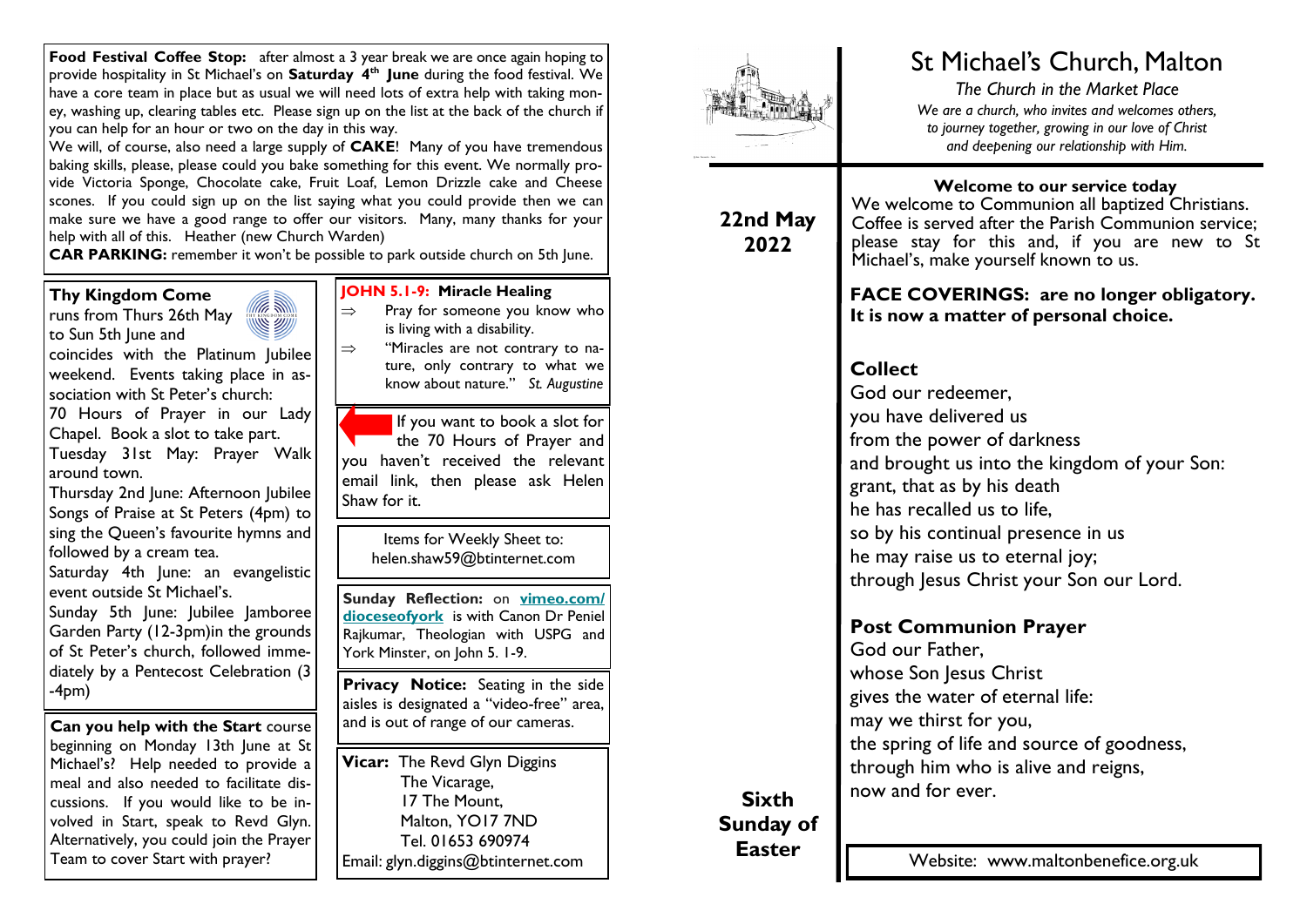**Food Festival Coffee Stop:** after almost a 3 year break we are once again hoping to provide hospitality in St Michael's on **Saturday 4th June** during the food festival. We have a core team in place but as usual we will need lots of extra help with taking money, washing up, clearing tables etc. Please sign up on the list at the back of the church if you can help for an hour or two on the day in this way.

We will, of course, also need a large supply of **CAKE**! Many of you have tremendous baking skills, please, please could you bake something for this event. We normally provide Victoria Sponge, Chocolate cake, Fruit Loaf, Lemon Drizzle cake and Cheese scones. If you could sign up on the list saying what you could provide then we can make sure we have a good range to offer our visitors. Many, many thanks for your help with all of this. Heather (new Church Warden)

**CAR PARKING:** remember it won't be possible to park outside church on 5th June.

(E W

**Thy Kingdom Come** 

runs from Thurs 26th May to Sun 5th June and

coincides with the Platinum Jubilee weekend. Events taking place in association with St Peter's church:

70 Hours of Prayer in our Lady Chapel. Book a slot to take part.

Tuesday 31st May: Prayer Walk around town.

Thursday 2nd June: Afternoon Jubilee Songs of Praise at St Peters (4pm) to sing the Queen's favourite hymns and followed by a cream tea.

Saturday 4th June: an evangelistic event outside St Michael's.

Sunday 5th June: Jubilee Jamboree Garden Party (12-3pm)in the grounds of St Peter's church, followed immediately by a Pentecost Celebration (3 -4pm)

**Can you help with the Start** course beginning on Monday 13th June at St Michael's? Help needed to provide a meal and also needed to facilitate discussions. If you would like to be involved in Start, speak to Revd Glyn. Alternatively, you could join the Prayer Team to cover Start with prayer?

#### **JOHN 5.1-9: Miracle Healing**

- $\Rightarrow$  Pray for someone you know who is living with a disability.
- $\Rightarrow$  "Miracles are not contrary to nature, only contrary to what we know about nature." *St. Augustine*

If you want to book a slot for the 70 Hours of Prayer and you haven't received the relevant email link, then please ask Helen Shaw for it.

Items for Weekly Sheet to: helen.shaw59@btinternet.com

**Sunday Reflection:** on **[vimeo.com/](https://dioceseofyork.us7.list-manage.com/track/click?u=975ba10dfea3bbb80973e38db&id=cf7c547241&e=66f37a0936) [dioceseofyork](https://dioceseofyork.us7.list-manage.com/track/click?u=975ba10dfea3bbb80973e38db&id=cf7c547241&e=66f37a0936)** is with Canon Dr Peniel Rajkumar, Theologian with USPG and York Minster, on John 5. 1-9.

**Privacy Notice:** Seating in the side aisles is designated a "video-free" area, and is out of range of our cameras.

**Vicar:** The Revd Glyn Diggins The Vicarage, 17 The Mount, Malton, YO17 7ND Tel. 01653 690974 Email: glyn.diggins@btinternet.com



# St Michael's Church, Malton

*The Church in the Market Place We are a church, who invites and welcomes others, to journey together, growing in our love of Christ and deepening our relationship with Him.*

**22nd May 2022**

**Welcome to our service today**

We welcome to Communion all baptized Christians. Coffee is served after the Parish Communion service; please stay for this and, if you are new to St Michael's, make yourself known to us.

**FACE COVERINGS: are no longer obligatory. It is now a matter of personal choice.**

## **Collect**

God our redeemer, you have delivered us from the power of darkness and brought us into the kingdom of your Son: grant, that as by his death he has recalled us to life, so by his continual presence in us he may raise us to eternal joy; through Jesus Christ your Son our Lord.

### **Post Communion Prayer**

God our Father, whose Son Jesus Christ gives the water of eternal life: may we thirst for you, the spring of life and source of goodness, through him who is alive and reigns, now and for ever.

**Sixth Sunday of Easter**